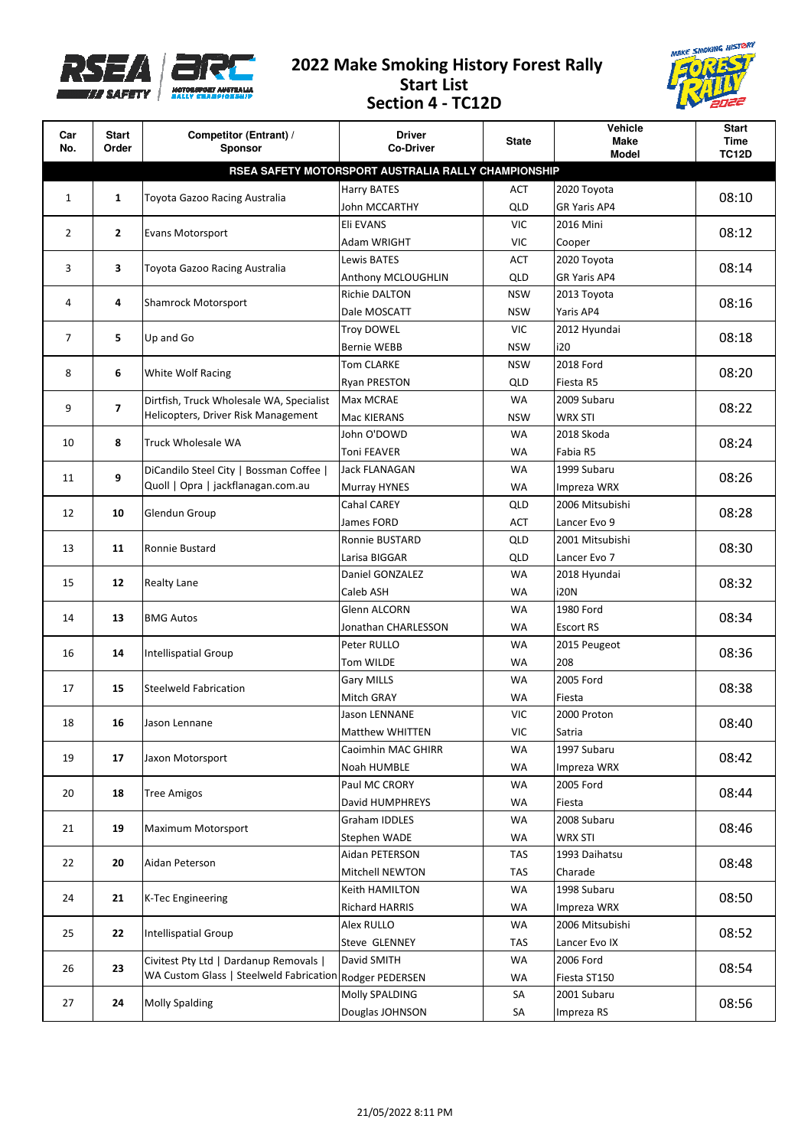

## **2022 Make Smoking History Forest Rally Start List Section 4 - TC12D**



| Car<br>No.                                          | <b>Start</b><br>Order | Competitor (Entrant) /<br><b>Sponsor</b>                                          | <b>Driver</b><br><b>Co-Driver</b> | State      | Vehicle<br>Make     | <b>Start</b><br><b>Time</b> |  |  |  |  |
|-----------------------------------------------------|-----------------------|-----------------------------------------------------------------------------------|-----------------------------------|------------|---------------------|-----------------------------|--|--|--|--|
|                                                     |                       |                                                                                   |                                   |            | <b>Model</b>        | <b>TC12D</b>                |  |  |  |  |
| RSEA SAFETY MOTORSPORT AUSTRALIA RALLY CHAMPIONSHIP |                       |                                                                                   |                                   |            |                     |                             |  |  |  |  |
| 1                                                   | $\mathbf{1}$          | Toyota Gazoo Racing Australia                                                     | Harry BATES                       | ACT        | 2020 Toyota         | 08:10                       |  |  |  |  |
|                                                     |                       |                                                                                   | John MCCARTHY                     | QLD        | <b>GR Yaris AP4</b> |                             |  |  |  |  |
|                                                     | $\mathbf{2}$<br>2     | Evans Motorsport                                                                  | Eli EVANS                         | <b>VIC</b> | 2016 Mini           | 08:12                       |  |  |  |  |
|                                                     |                       | Adam WRIGHT                                                                       | <b>VIC</b>                        | Cooper     |                     |                             |  |  |  |  |
|                                                     | 3<br>3                | Toyota Gazoo Racing Australia                                                     | Lewis BATES                       | <b>ACT</b> | 2020 Toyota         | 08:14                       |  |  |  |  |
|                                                     |                       |                                                                                   | Anthony MCLOUGHLIN                | QLD        | GR Yaris AP4        |                             |  |  |  |  |
| 4                                                   | 4                     | Shamrock Motorsport                                                               | Richie DALTON                     | <b>NSW</b> | 2013 Toyota         | 08:16                       |  |  |  |  |
|                                                     |                       |                                                                                   | Dale MOSCATT                      | <b>NSW</b> | Yaris AP4           |                             |  |  |  |  |
| 7                                                   | 5                     | Up and Go                                                                         | Troy DOWEL                        | <b>VIC</b> | 2012 Hyundai        | 08:18                       |  |  |  |  |
|                                                     |                       |                                                                                   | Bernie WEBB                       | <b>NSW</b> | i20                 |                             |  |  |  |  |
| 8                                                   | 6                     | White Wolf Racing                                                                 | <b>Tom CLARKE</b>                 | <b>NSW</b> | 2018 Ford           | 08:20                       |  |  |  |  |
|                                                     |                       |                                                                                   | <b>Ryan PRESTON</b>               | QLD        | Fiesta R5           |                             |  |  |  |  |
| 9                                                   | $\overline{ }$        | Dirtfish, Truck Wholesale WA, Specialist                                          | Max MCRAE                         | <b>WA</b>  | 2009 Subaru         | 08:22                       |  |  |  |  |
|                                                     |                       | Helicopters, Driver Risk Management                                               | Mac KIERANS                       | <b>NSW</b> | WRX STI             |                             |  |  |  |  |
| 10                                                  | 8                     | Truck Wholesale WA                                                                | John O'DOWD                       | <b>WA</b>  | 2018 Skoda          | 08:24                       |  |  |  |  |
|                                                     |                       |                                                                                   | <b>Toni FEAVER</b>                | <b>WA</b>  | Fabia R5            |                             |  |  |  |  |
| 11                                                  | 9                     | DiCandilo Steel City   Bossman Coffee                                             | Jack FLANAGAN                     | <b>WA</b>  | 1999 Subaru         | 08:26                       |  |  |  |  |
|                                                     |                       | Quoll   Opra   jackflanagan.com.au                                                | Murray HYNES                      | <b>WA</b>  | Impreza WRX         |                             |  |  |  |  |
| 12                                                  | 10                    | Glendun Group                                                                     | Cahal CAREY                       | QLD        | 2006 Mitsubishi     | 08:28                       |  |  |  |  |
|                                                     |                       |                                                                                   | James FORD                        | <b>ACT</b> | Lancer Evo 9        |                             |  |  |  |  |
| 13                                                  | 11                    | Ronnie Bustard                                                                    | Ronnie BUSTARD                    | QLD        | 2001 Mitsubishi     | 08:30                       |  |  |  |  |
|                                                     |                       |                                                                                   | Larisa BIGGAR                     | QLD        | Lancer Evo 7        |                             |  |  |  |  |
| 15                                                  | 12                    | <b>Realty Lane</b>                                                                | Daniel GONZALEZ                   | WA         | 2018 Hyundai        | 08:32                       |  |  |  |  |
|                                                     |                       |                                                                                   | Caleb ASH                         | <b>WA</b>  | <b>i20N</b>         |                             |  |  |  |  |
| 14                                                  | 13                    | <b>BMG Autos</b>                                                                  | Glenn ALCORN                      | <b>WA</b>  | 1980 Ford           | 08:34                       |  |  |  |  |
|                                                     |                       |                                                                                   | Jonathan CHARLESSON               | <b>WA</b>  | <b>Escort RS</b>    |                             |  |  |  |  |
| 16                                                  | 14                    | Intellispatial Group                                                              | Peter RULLO                       | <b>WA</b>  | 2015 Peugeot        | 08:36                       |  |  |  |  |
|                                                     |                       |                                                                                   | Tom WILDE                         | <b>WA</b>  | 208                 |                             |  |  |  |  |
| 17                                                  | 15                    | <b>Steelweld Fabrication</b>                                                      | <b>Gary MILLS</b>                 | <b>WA</b>  | 2005 Ford           | 08:38                       |  |  |  |  |
|                                                     |                       |                                                                                   | Mitch GRAY                        | <b>WA</b>  | Fiesta              |                             |  |  |  |  |
| 18                                                  | 16                    | Jason Lennane                                                                     | Jason LENNANE                     | <b>VIC</b> | 2000 Proton         | 08:40                       |  |  |  |  |
|                                                     |                       |                                                                                   | Matthew WHITTEN                   | VIC        | Satria              |                             |  |  |  |  |
| 19                                                  | 17                    | Jaxon Motorsport                                                                  | Caoimhin MAC GHIRR                | <b>WA</b>  | 1997 Subaru         | 08:42                       |  |  |  |  |
|                                                     |                       |                                                                                   | Noah HUMBLE                       | WA         | Impreza WRX         |                             |  |  |  |  |
| 20                                                  | 18                    | <b>Tree Amigos</b>                                                                | Paul MC CRORY                     | WA         | 2005 Ford           | 08:44                       |  |  |  |  |
|                                                     |                       |                                                                                   | David HUMPHREYS                   | WA         | Fiesta              |                             |  |  |  |  |
| 21                                                  | 19                    | Maximum Motorsport                                                                | Graham IDDLES                     | <b>WA</b>  | 2008 Subaru         | 08:46                       |  |  |  |  |
|                                                     |                       |                                                                                   | Stephen WADE                      | WA         | <b>WRX STI</b>      |                             |  |  |  |  |
| 22                                                  | 20                    | Aidan Peterson                                                                    | Aidan PETERSON                    | TAS        | 1993 Daihatsu       | 08:48                       |  |  |  |  |
|                                                     |                       |                                                                                   | Mitchell NEWTON                   | <b>TAS</b> | Charade             |                             |  |  |  |  |
| 24                                                  | 21                    | <b>K-Tec Engineering</b>                                                          | Keith HAMILTON                    | WA         | 1998 Subaru         | 08:50                       |  |  |  |  |
|                                                     |                       |                                                                                   | <b>Richard HARRIS</b>             | WA         | Impreza WRX         |                             |  |  |  |  |
| 25                                                  | 22                    | Intellispatial Group                                                              | Alex RULLO                        | <b>WA</b>  | 2006 Mitsubishi     | 08:52                       |  |  |  |  |
|                                                     |                       |                                                                                   | Steve GLENNEY                     | TAS        | Lancer Evo IX       |                             |  |  |  |  |
| 26                                                  | 23                    | Civitest Pty Ltd   Dardanup Removals  <br>WA Custom Glass   Steelweld Fabrication | David SMITH                       | WA         | 2006 Ford           | 08:54                       |  |  |  |  |
|                                                     |                       |                                                                                   | Rodger PEDERSEN                   | WA         | Fiesta ST150        |                             |  |  |  |  |
| 27                                                  | 24                    | <b>Molly Spalding</b>                                                             | Molly SPALDING                    | SA         | 2001 Subaru         | 08:56                       |  |  |  |  |
|                                                     |                       |                                                                                   | Douglas JOHNSON                   | SA         | Impreza RS          |                             |  |  |  |  |